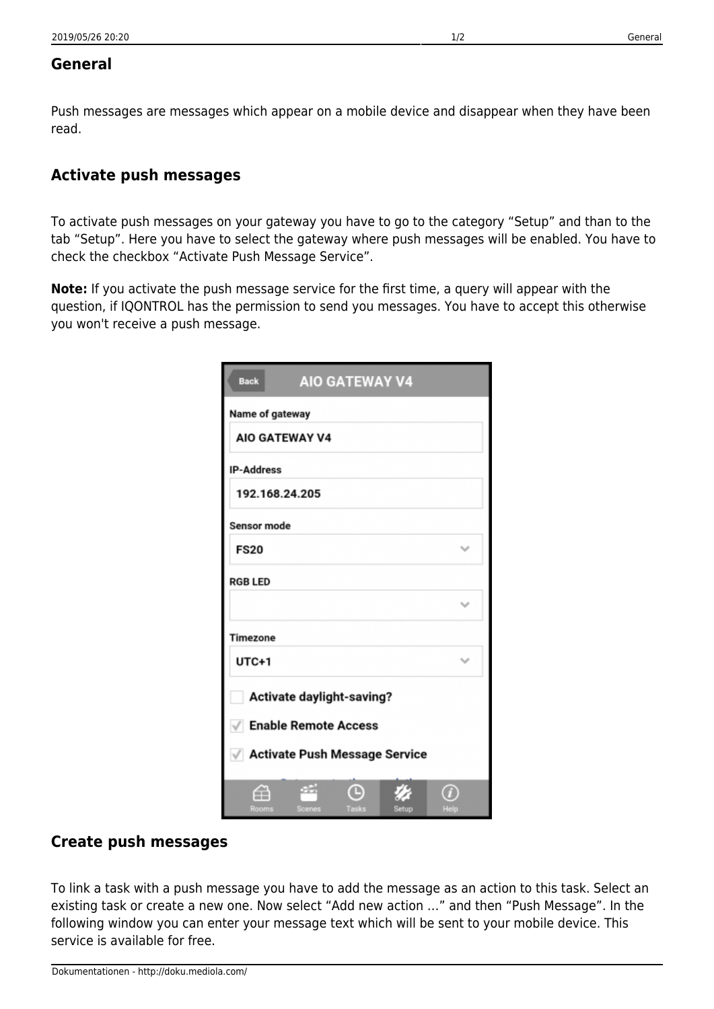## **General**

Push messages are messages which appear on a mobile device and disappear when they have been read.

## **Activate push messages**

To activate push messages on your gateway you have to go to the category "Setup" and than to the tab "Setup". Here you have to select the gateway where push messages will be enabled. You have to check the checkbox "Activate Push Message Service".

**Note:** If you activate the push message service for the first time, a query will appear with the question, if IQONTROL has the permission to send you messages. You have to accept this otherwise you won't receive a push message.

| <b>AIO GATEWAY V4</b><br><b>Back</b>   |              |  |  |  |
|----------------------------------------|--------------|--|--|--|
| Name of gateway                        |              |  |  |  |
| <b>AIO GATEWAY V4</b>                  |              |  |  |  |
| <b>IP-Address</b>                      |              |  |  |  |
| 192.168.24.205                         |              |  |  |  |
| Sensor mode                            |              |  |  |  |
| <b>FS20</b>                            | $\checkmark$ |  |  |  |
| <b>RGB LED</b>                         |              |  |  |  |
|                                        | $\checkmark$ |  |  |  |
| Timezone                               |              |  |  |  |
| UTC+1                                  | $\checkmark$ |  |  |  |
| Activate daylight-saving?              |              |  |  |  |
| √ Enable Remote Access                 |              |  |  |  |
| √ Activate Push Message Service        |              |  |  |  |
| ≘<br>Rooms<br>Scenes<br>Tasks<br>Setup | Help         |  |  |  |

## **Create push messages**

To link a task with a push message you have to add the message as an action to this task. Select an existing task or create a new one. Now select "Add new action …" and then "Push Message". In the following window you can enter your message text which will be sent to your mobile device. This service is available for free.